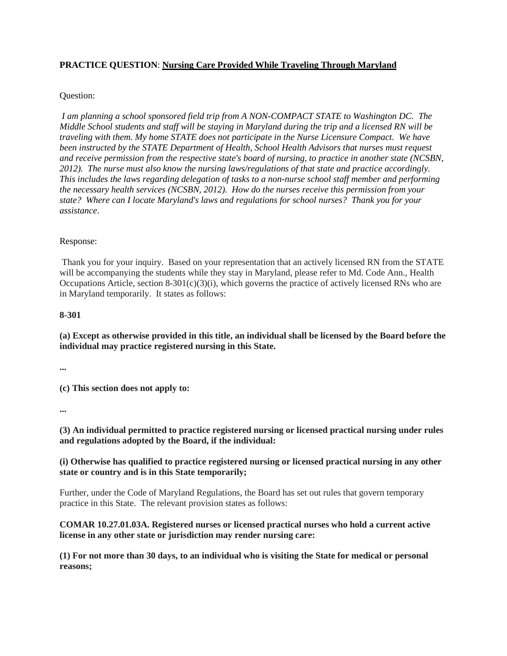# **PRACTICE QUESTION**: **Nursing Care Provided While Traveling Through Maryland**

# Question:

*I am planning a school sponsored field trip from A NON-COMPACT STATE to Washington DC. The Middle School students and staff will be staying in Maryland during the trip and a licensed RN will be traveling with them. My home STATE does not participate in the Nurse Licensure Compact. We have been instructed by the STATE Department of Health, School Health Advisors that nurses must request and receive permission from the respective state's board of nursing, to practice in another state (NCSBN, 2012). The nurse must also know the nursing laws/regulations of that state and practice accordingly. This includes the laws regarding delegation of tasks to a non-nurse school staff member and performing the necessary health services (NCSBN, 2012). How do the nurses receive this permission from your state? Where can I locate Maryland's laws and regulations for school nurses? Thank you for your assistance*.

# Response:

Thank you for your inquiry. Based on your representation that an actively licensed RN from the STATE will be accompanying the students while they stay in Maryland, please refer to Md. Code Ann., Health Occupations Article, section 8-301(c)(3)(i), which governs the practice of actively licensed RNs who are in Maryland temporarily. It states as follows:

#### **8-301**

**(a) Except as otherwise provided in this title, an individual shall be licensed by the Board before the individual may practice registered nursing in this State.**

**...**

**(c) This section does not apply to:**

**...**

**(3) An individual permitted to practice registered nursing or licensed practical nursing under rules and regulations adopted by the Board, if the individual:**

# **(i) Otherwise has qualified to practice registered nursing or licensed practical nursing in any other state or country and is in this State temporarily;**

Further, under the Code of Maryland Regulations, the Board has set out rules that govern temporary practice in this State. The relevant provision states as follows:

# **COMAR 10.27.01.03A. Registered nurses or licensed practical nurses who hold a current active license in any other state or jurisdiction may render nursing care:**

**(1) For not more than 30 days, to an individual who is visiting the State for medical or personal reasons;**